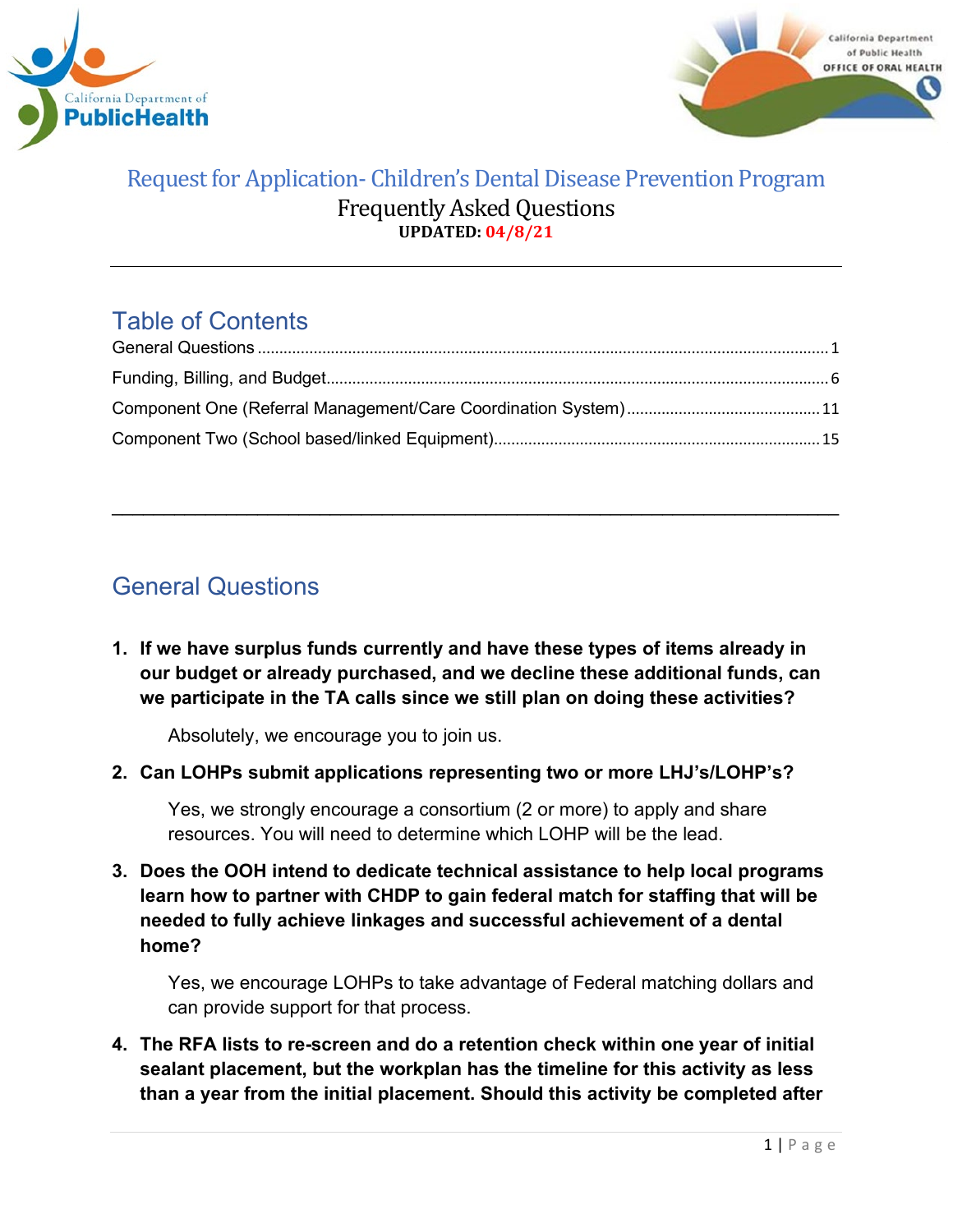



# Table of Contents

\_\_\_\_\_\_\_\_\_\_\_\_\_\_\_\_\_\_\_\_\_\_\_\_\_\_\_\_\_\_\_\_\_\_\_\_\_\_\_\_\_\_\_\_\_\_\_\_\_\_\_\_\_\_\_\_\_\_\_\_\_\_\_\_\_\_\_\_\_\_

# <span id="page-0-0"></span>General Questions

**1. If we have surplus funds currently and have these types of items already in our budget or already purchased, and we decline these additional funds, can we participate in the TA calls since we still plan on doing these activities?**

Absolutely, we encourage you to join us.

**2. Can LOHPs submit applications representing two or more LHJ's/LOHP's?** 

Yes, we strongly encourage a consortium (2 or more) to apply and share resources. You will need to determine which LOHP will be the lead.

**3. Does the OOH intend to dedicate technical assistance to help local programs learn how to partner with CHDP to gain federal match for staffing that will be needed to fully achieve linkages and successful achievement of a dental home?**

Yes, we encourage LOHPs to take advantage of Federal matching dollars and can provide support for that process.

**4. The RFA lists to re-screen and do a retention check within one year of initial sealant placement, but the workplan has the timeline for this activity as less than a year from the initial placement. Should this activity be completed after**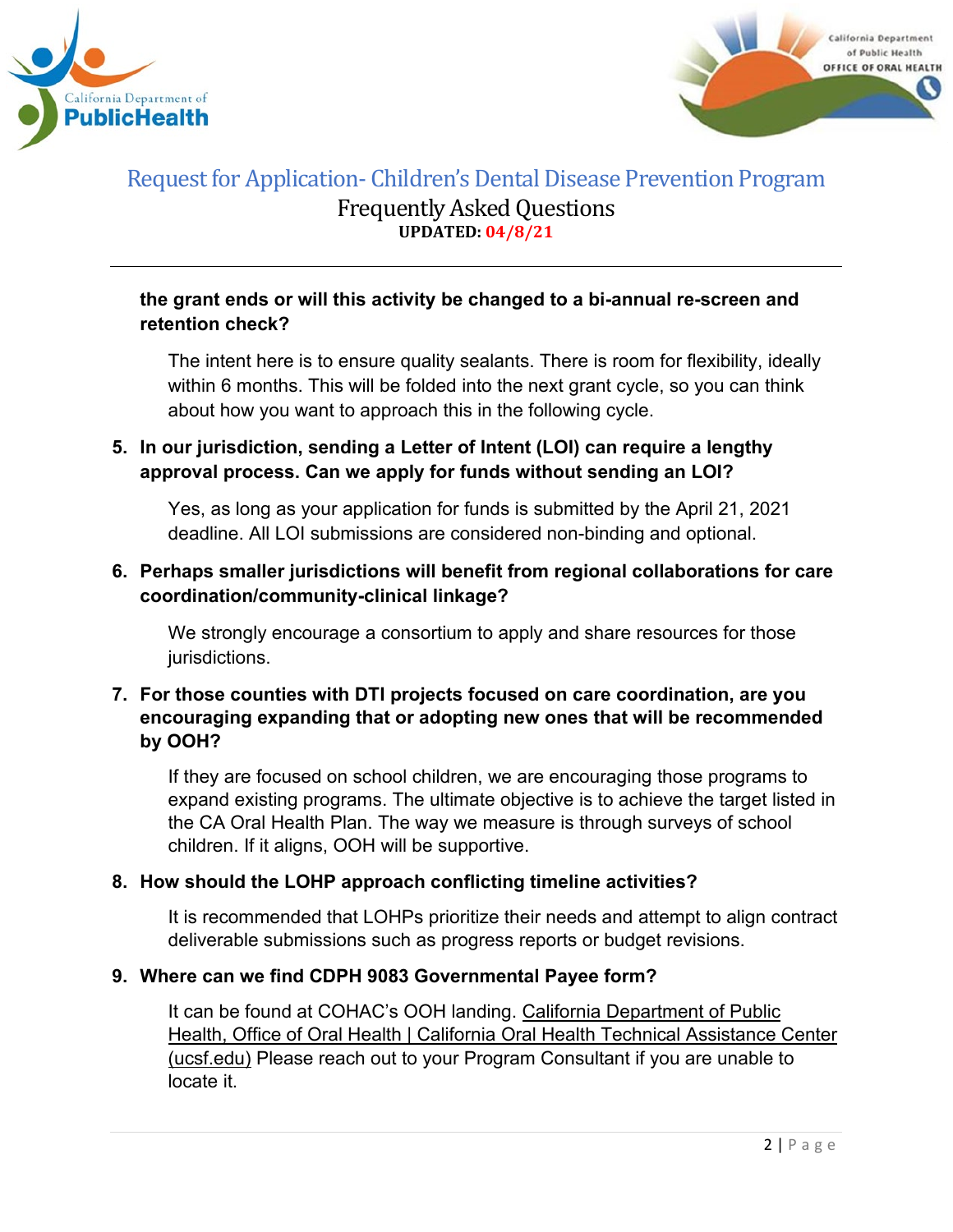



# **the grant ends or will this activity be changed to a bi-annual re-screen and retention check?**

The intent here is to ensure quality sealants. There is room for flexibility, ideally within 6 months. This will be folded into the next grant cycle, so you can think about how you want to approach this in the following cycle.

# **5. In our jurisdiction, sending a Letter of Intent (LOI) can require a lengthy approval process. Can we apply for funds without sending an LOI?**

Yes, as long as your application for funds is submitted by the April 21, 2021 deadline. All LOI submissions are considered non-binding and optional.

# **6. Perhaps smaller jurisdictions will benefit from regional collaborations for care coordination/community-clinical linkage?**

We strongly encourage a consortium to apply and share resources for those jurisdictions.

# **7. For those counties with DTI projects focused on care coordination, are you encouraging expanding that or adopting new ones that will be recommended by OOH?**

If they are focused on school children, we are encouraging those programs to expand existing programs. The ultimate objective is to achieve the target listed in the CA Oral Health Plan. The way we measure is through surveys of school children. If it aligns, OOH will be supportive.

# **8. How should the LOHP approach conflicting timeline activities?**

It is recommended that LOHPs prioritize their needs and attempt to align contract deliverable submissions such as progress reports or budget revisions.

# **9. Where can we find CDPH 9083 Governmental Payee form?**

It can be found at COHAC's OOH landing. California [Department](https://oralhealthsupport.ucsf.edu/california-department-public-health-office-oral-health) of Public Health, Office of Oral Health | California Oral Health Technical [Assistance](https://oralhealthsupport.ucsf.edu/california-department-public-health-office-oral-health) Center [\(ucsf.edu\)](https://oralhealthsupport.ucsf.edu/california-department-public-health-office-oral-health) Please reach out to your Program Consultant if you are unable to locate it.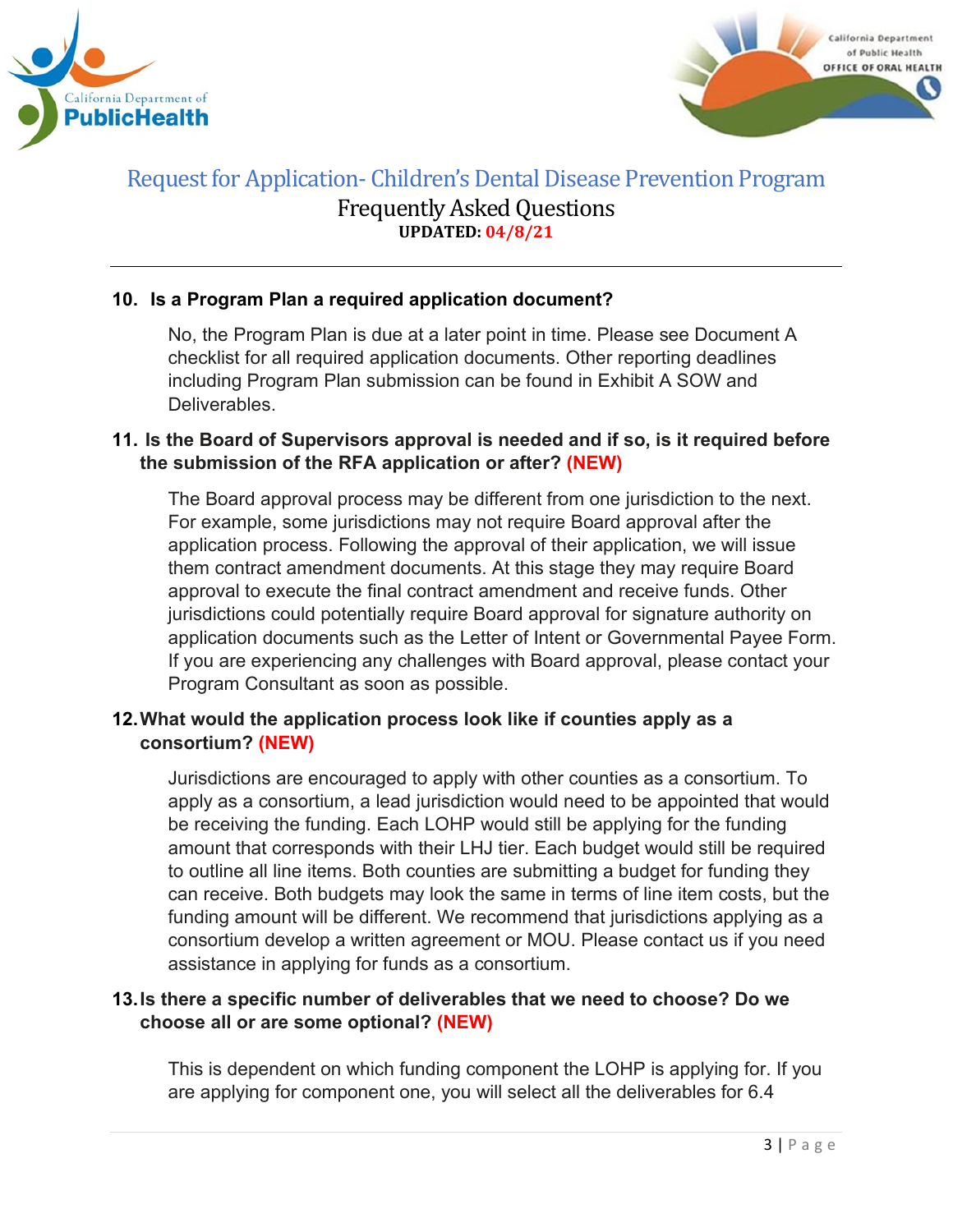



# **10. Is a Program Plan a required application document?**

No, the Program Plan is due at a later point in time. Please see Document A checklist for all required application documents. Other reporting deadlines including Program Plan submission can be found in Exhibit A SOW and **Deliverables** 

#### **11. Is the Board of Supervisors approval is needed and if so, is it required before the submission of the RFA application or after? (NEW)**

The Board approval process may be different from one jurisdiction to the next. For example, some jurisdictions may not require Board approval after the application process. Following the approval of their application, we will issue them contract amendment documents. At this stage they may require Board approval to execute the final contract amendment and receive funds. Other jurisdictions could potentially require Board approval for signature authority on application documents such as the Letter of Intent or Governmental Payee Form. If you are experiencing any challenges with Board approval, please contact your Program Consultant as soon as possible.

# **12.What would the application process look like if counties apply as a consortium? (NEW)**

Jurisdictions are encouraged to apply with other counties as a consortium. To apply as a consortium, a lead jurisdiction would need to be appointed that would be receiving the funding. Each LOHP would still be applying for the funding amount that corresponds with their LHJ tier. Each budget would still be required to outline all line items. Both counties are submitting a budget for funding they can receive. Both budgets may look the same in terms of line item costs, but the funding amount will be different. We recommend that jurisdictions applying as a consortium develop a written agreement or MOU. Please contact us if you need assistance in applying for funds as a consortium.

#### **13.Is there a specific number of deliverables that we need to choose? Do we choose all or are some optional? (NEW)**

This is dependent on which funding component the LOHP is applying for. If you are applying for component one, you will select all the deliverables for 6.4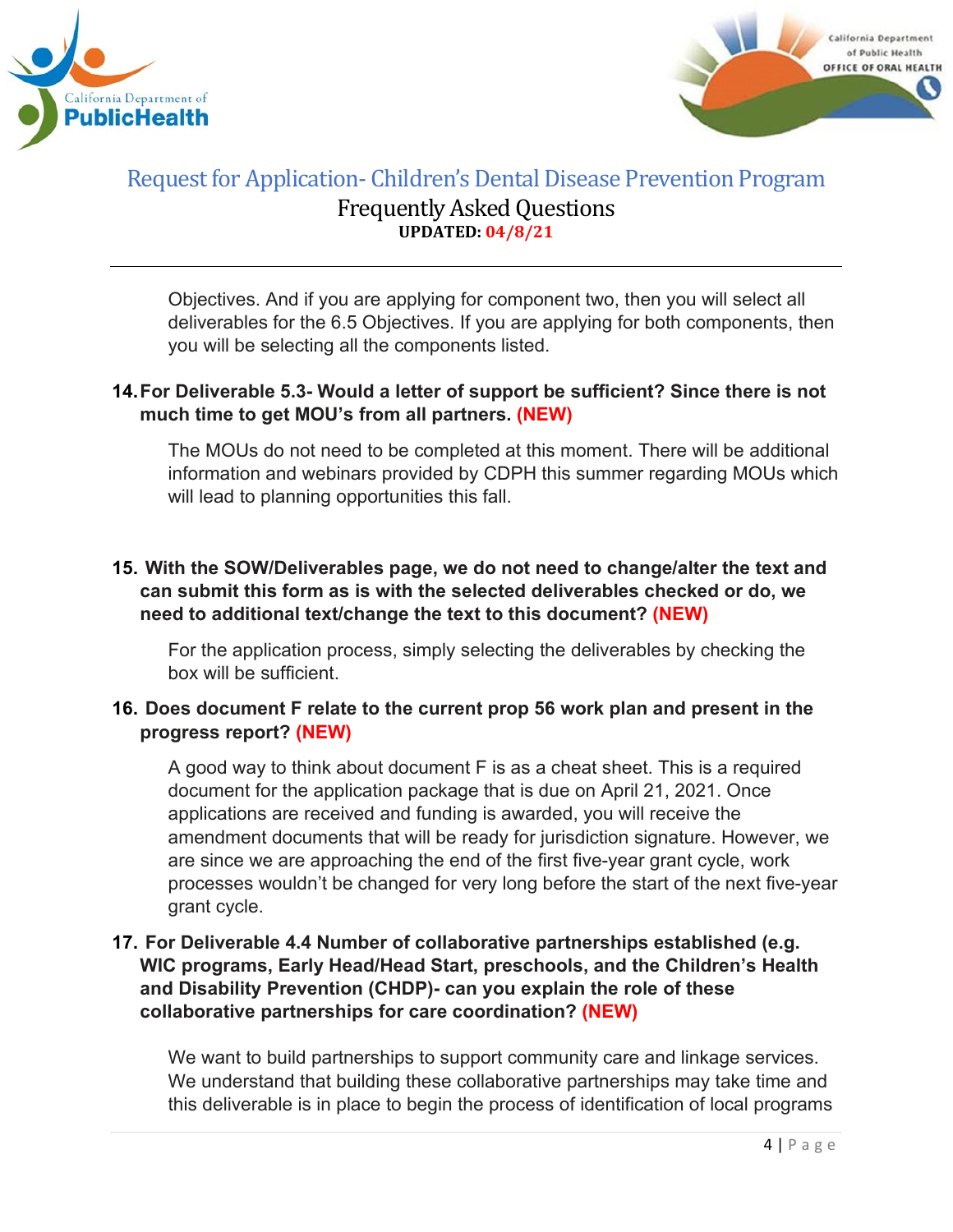



Objectives. And if you are applying for component two, then you will select all deliverables for the 6.5 Objectives. If you are applying for both components, then you will be selecting all the components listed.

#### **14.For Deliverable 5.3- Would a letter of support be sufficient? Since there is not much time to get MOU's from all partners. (NEW)**

The MOUs do not need to be completed at this moment. There will be additional information and webinars provided by CDPH this summer regarding MOUs which will lead to planning opportunities this fall.

# **15. With the SOW/Deliverables page, we do not need to change/alter the text and can submit this form as is with the selected deliverables checked or do, we need to additional text/change the text to this document? (NEW)**

For the application process, simply selecting the deliverables by checking the box will be sufficient.

# **16. Does document F relate to the current prop 56 work plan and present in the progress report? (NEW)**

A good way to think about document F is as a cheat sheet. This is a required document for the application package that is due on April 21, 2021. Once applications are received and funding is awarded, you will receive the amendment documents that will be ready for jurisdiction signature. However, we are since we are approaching the end of the first five-year grant cycle, work processes wouldn't be changed for very long before the start of the next five-year grant cycle.

# **17. For Deliverable 4.4 Number of collaborative partnerships established (e.g. WIC programs, Early Head/Head Start, preschools, and the Children's Health and Disability Prevention (CHDP)- can you explain the role of these collaborative partnerships for care coordination? (NEW)**

We want to build partnerships to support community care and linkage services. We understand that building these collaborative partnerships may take time and this deliverable is in place to begin the process of identification of local programs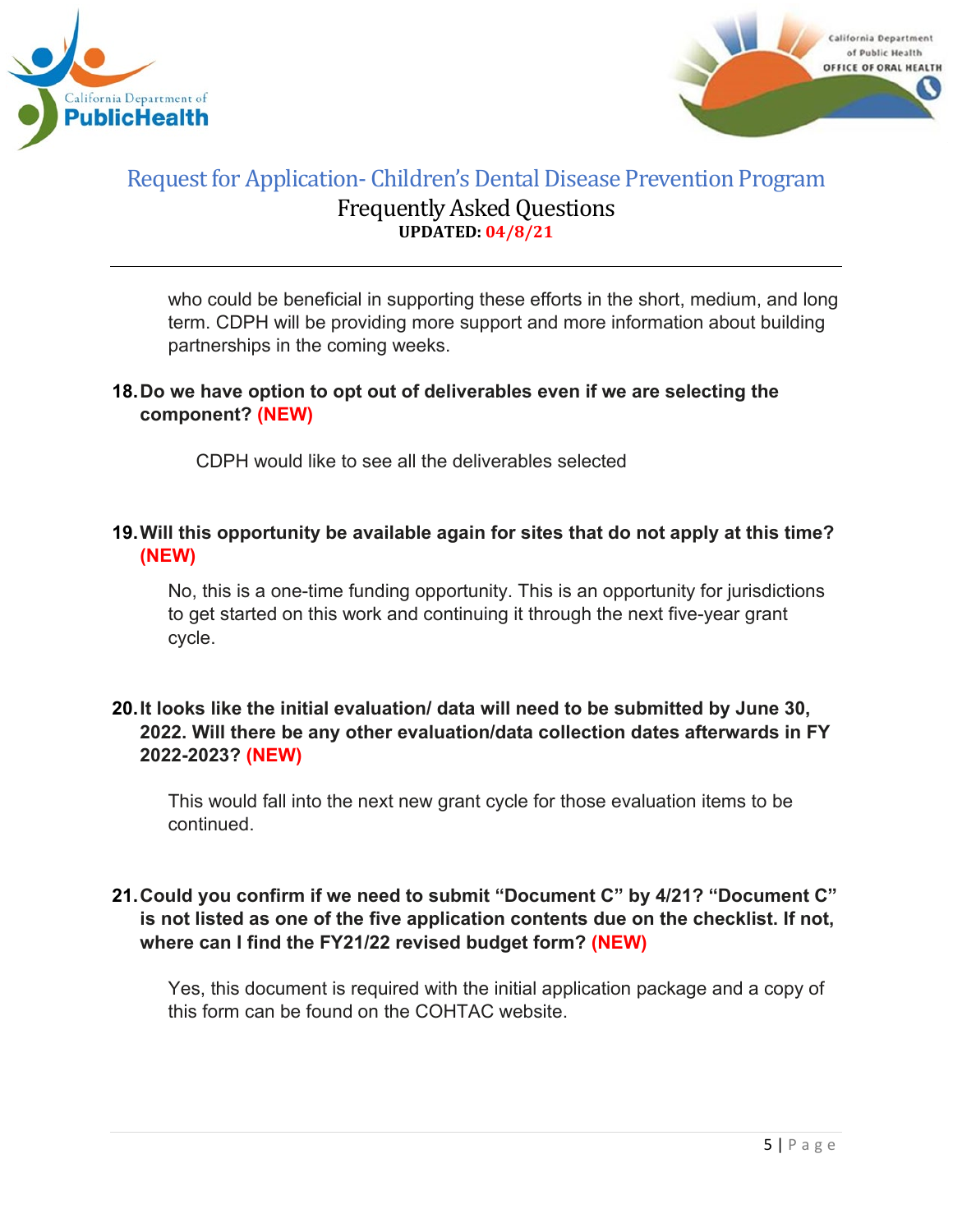



who could be beneficial in supporting these efforts in the short, medium, and long term. CDPH will be providing more support and more information about building partnerships in the coming weeks.

# **18.Do we have option to opt out of deliverables even if we are selecting the component? (NEW)**

CDPH would like to see all the deliverables selected

# **19.Will this opportunity be available again for sites that do not apply at this time? (NEW)**

No, this is a one-time funding opportunity. This is an opportunity for jurisdictions to get started on this work and continuing it through the next five-year grant cycle.

# **20.It looks like the initial evaluation/ data will need to be submitted by June 30, 2022. Will there be any other evaluation/data collection dates afterwards in FY 2022-2023? (NEW)**

This would fall into the next new grant cycle for those evaluation items to be continued.

# **21.Could you confirm if we need to submit "Document C" by 4/21? "Document C" is not listed as one of the five application contents due on the checklist. If not, where can I find the FY21/22 revised budget form? (NEW)**

Yes, this document is required with the initial application package and a copy of this form can be found on the COHTAC website.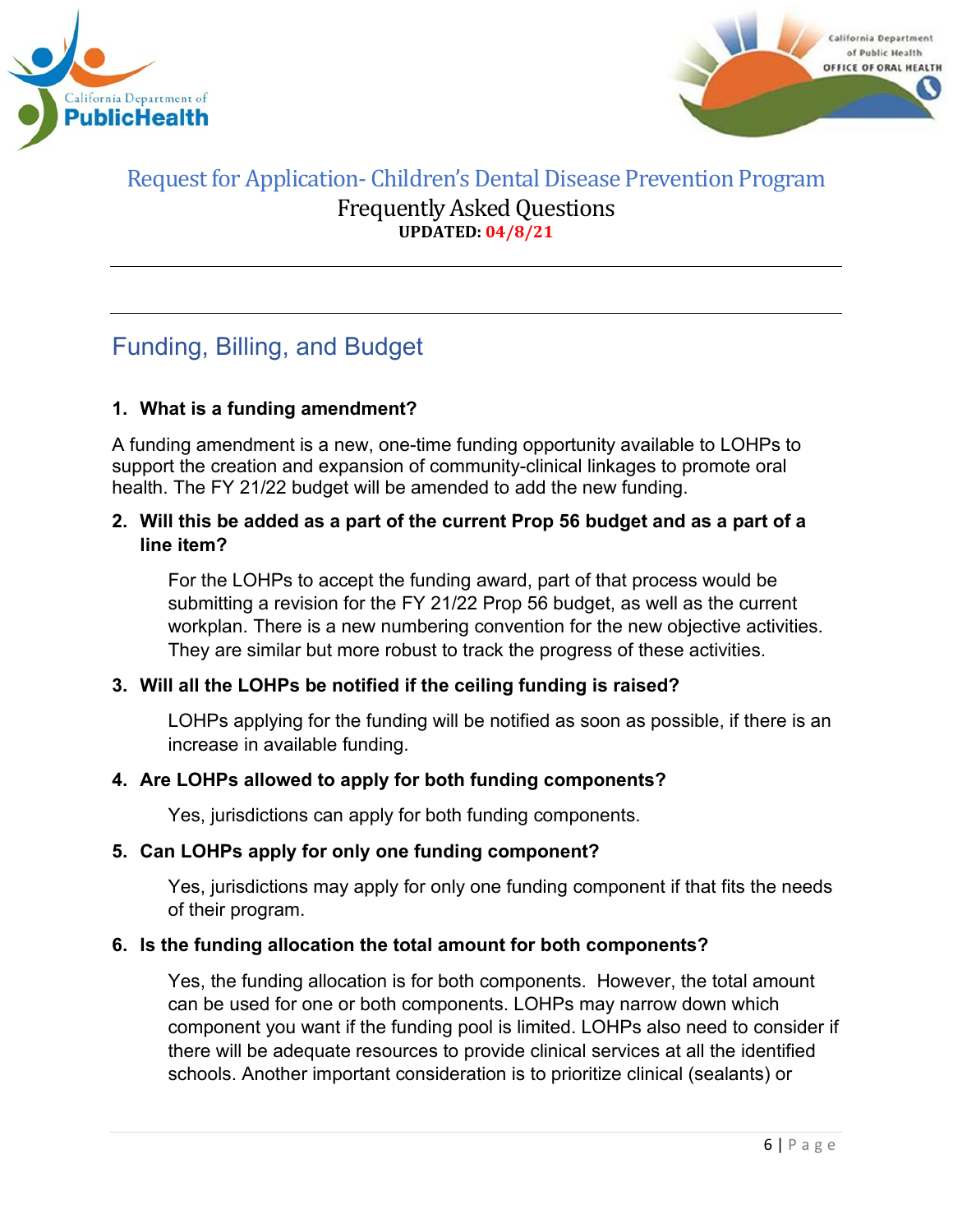



# <span id="page-5-0"></span>Funding, Billing, and Budget

# **1. What is a funding amendment?**

A funding amendment is a new, one-time funding opportunity available to LOHPs to support the creation and expansion of community-clinical linkages to promote oral health. The FY 21/22 budget will be amended to add the new funding.

#### **2. Will this be added as a part of the current Prop 56 budget and as a part of a line item?**

For the LOHPs to accept the funding award, part of that process would be submitting a revision for the FY 21/22 Prop 56 budget, as well as the current workplan. There is a new numbering convention for the new objective activities. They are similar but more robust to track the progress of these activities.

# **3. Will all the LOHPs be notified if the ceiling funding is raised?**

LOHPs applying for the funding will be notified as soon as possible, if there is an increase in available funding.

# **4. Are LOHPs allowed to apply for both funding components?**

Yes, jurisdictions can apply for both funding components.

#### **5. Can LOHPs apply for only one funding component?**

Yes, jurisdictions may apply for only one funding component if that fits the needs of their program.

#### **6. Is the funding allocation the total amount for both components?**

Yes, the funding allocation is for both components. However, the total amount can be used for one or both components. LOHPs may narrow down which component you want if the funding pool is limited. LOHPs also need to consider if there will be adequate resources to provide clinical services at all the identified schools. Another important consideration is to prioritize clinical (sealants) or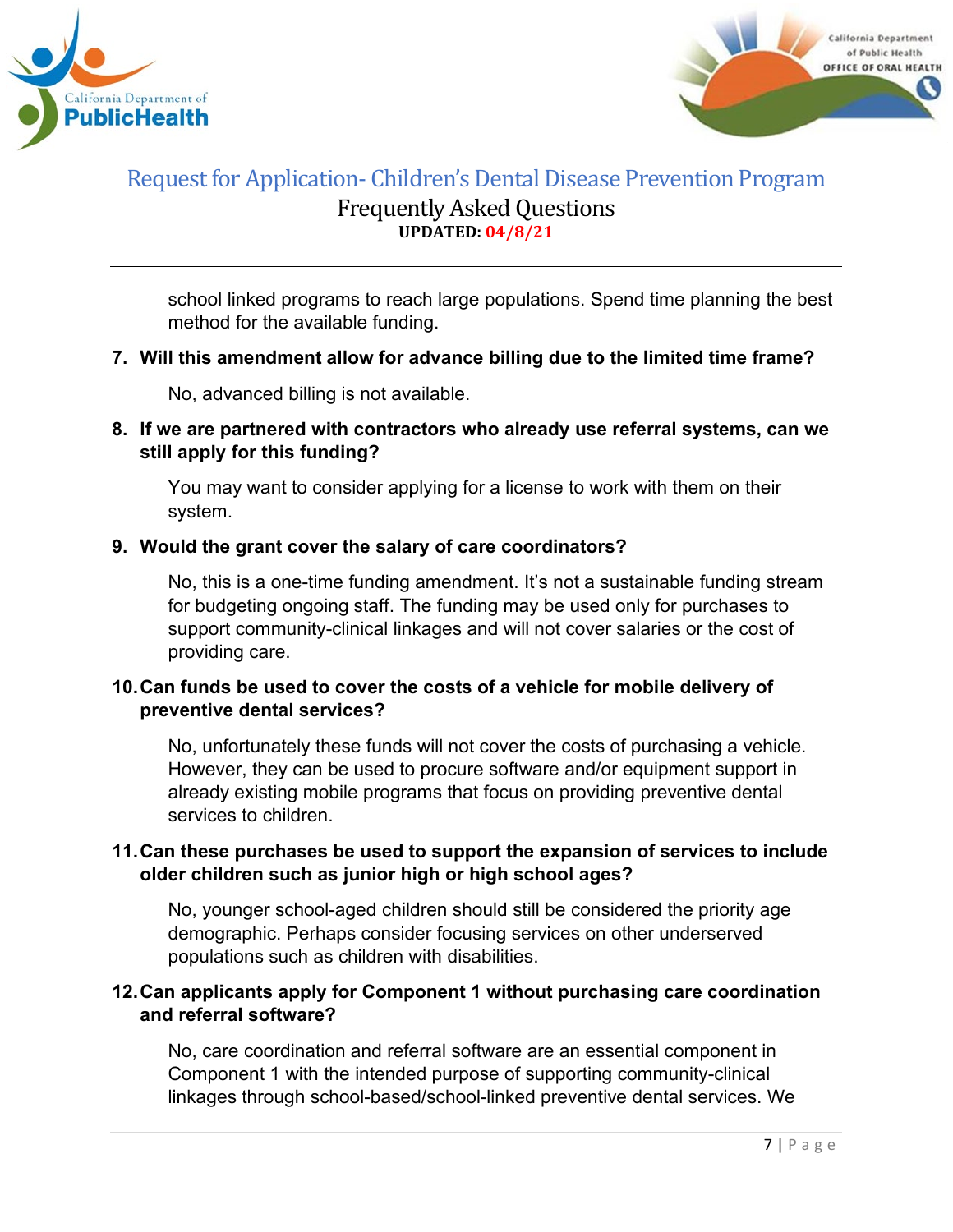



school linked programs to reach large populations. Spend time planning the best method for the available funding.

#### **7. Will this amendment allow for advance billing due to the limited time frame?**

No, advanced billing is not available.

# **8. If we are partnered with contractors who already use referral systems, can we still apply for this funding?**

You may want to consider applying for a license to work with them on their system.

#### **9. Would the grant cover the salary of care coordinators?**

No, this is a one-time funding amendment. It's not a sustainable funding stream for budgeting ongoing staff. The funding may be used only for purchases to support community-clinical linkages and will not cover salaries or the cost of providing care.

# **10.Can funds be used to cover the costs of a vehicle for mobile delivery of preventive dental services?**

No, unfortunately these funds will not cover the costs of purchasing a vehicle. However, they can be used to procure software and/or equipment support in already existing mobile programs that focus on providing preventive dental services to children.

# **11.Can these purchases be used to support the expansion of services to include older children such as junior high or high school ages?**

No, younger school-aged children should still be considered the priority age demographic. Perhaps consider focusing services on other underserved populations such as children with disabilities.

# **12.Can applicants apply for Component 1 without purchasing care coordination and referral software?**

No, care coordination and referral software are an essential component in Component 1 with the intended purpose of supporting community-clinical linkages through school-based/school-linked preventive dental services. We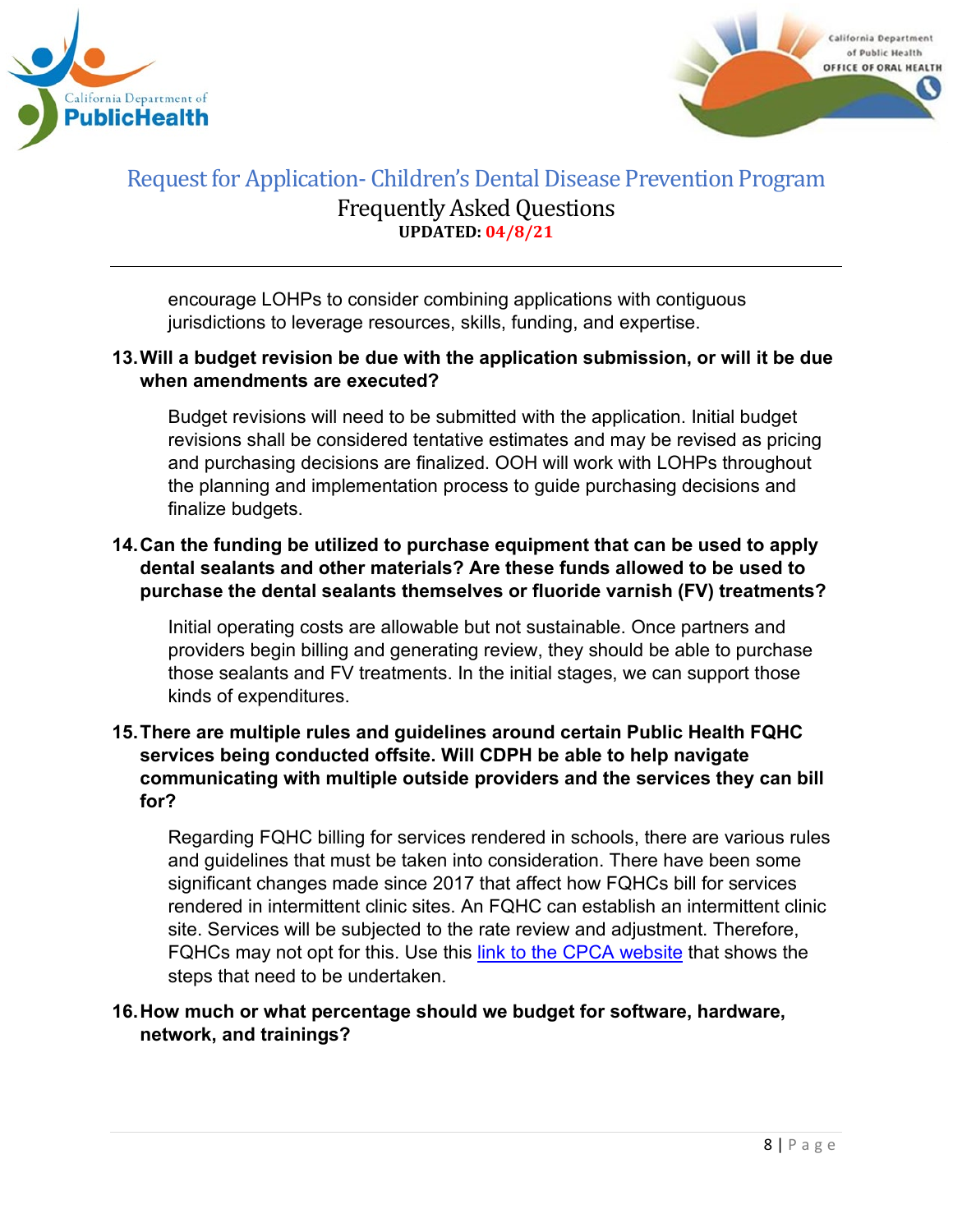



encourage LOHPs to consider combining applications with contiguous jurisdictions to leverage resources, skills, funding, and expertise.

#### **13.Will a budget revision be due with the application submission, or will it be due when amendments are executed?**

Budget revisions will need to be submitted with the application. Initial budget revisions shall be considered tentative estimates and may be revised as pricing and purchasing decisions are finalized. OOH will work with LOHPs throughout the planning and implementation process to guide purchasing decisions and finalize budgets.

# **14.Can the funding be utilized to purchase equipment that can be used to apply dental sealants and other materials? Are these funds allowed to be used to purchase the dental sealants themselves or fluoride varnish (FV) treatments?**

Initial operating costs are allowable but not sustainable. Once partners and providers begin billing and generating review, they should be able to purchase those sealants and FV treatments. In the initial stages, we can support those kinds of expenditures.

#### **15.There are multiple rules and guidelines around certain Public Health FQHC services being conducted offsite. Will CDPH be able to help navigate communicating with multiple outside providers and the services they can bill for?**

Regarding FQHC billing for services rendered in schools, there are various rules and guidelines that must be taken into consideration. There have been some significant changes made since 2017 that affect how FQHCs bill for services rendered in intermittent clinic sites. An FQHC can establish an intermittent clinic site. Services will be subjected to the rate review and adjustment. Therefore, FQHCs may not opt for this. Use this [link to the CPCA website](https://www.cpca.org/CPCA/Health_Center_Resources/Operations/Licensing_Certification_OSHPD_3/CPCA/HEALTH_CENTER_RESOURCES/Operations/Licensing___Certification_OSHPD_3.aspx?hkey=e213a1f9-e91c-4d07-bd87-f32c31a5f75c#:%7E:text=Intermittent%3A%20A%20clinic%20that%20is,than%2040%20hours%20a%20week) that shows the steps that need to be undertaken.

#### **16.How much or what percentage should we budget for software, hardware, network, and trainings?**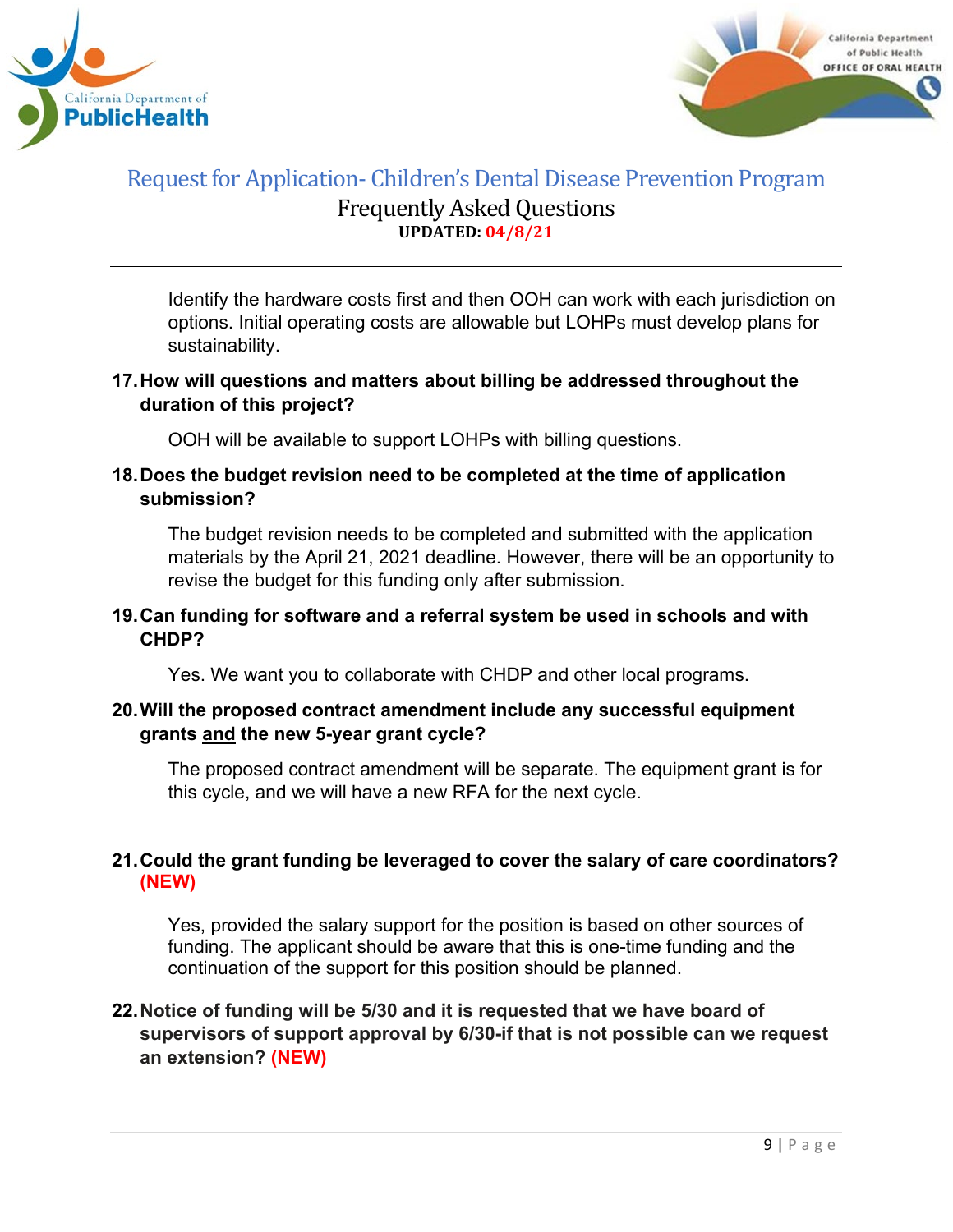



Identify the hardware costs first and then OOH can work with each jurisdiction on options. Initial operating costs are allowable but LOHPs must develop plans for sustainability.

#### **17.How will questions and matters about billing be addressed throughout the duration of this project?**

OOH will be available to support LOHPs with billing questions.

#### **18.Does the budget revision need to be completed at the time of application submission?**

The budget revision needs to be completed and submitted with the application materials by the April 21, 2021 deadline. However, there will be an opportunity to revise the budget for this funding only after submission.

#### **19.Can funding for software and a referral system be used in schools and with CHDP?**

Yes. We want you to collaborate with CHDP and other local programs.

#### **20.Will the proposed contract amendment include any successful equipment grants and the new 5-year grant cycle?**

The proposed contract amendment will be separate. The equipment grant is for this cycle, and we will have a new RFA for the next cycle.

# **21.Could the grant funding be leveraged to cover the salary of care coordinators? (NEW)**

Yes, provided the salary support for the position is based on other sources of funding. The applicant should be aware that this is one-time funding and the continuation of the support for this position should be planned.

#### **22.Notice of funding will be 5/30 and it is requested that we have board of supervisors of support approval by 6/30-if that is not possible can we request an extension? (NEW)**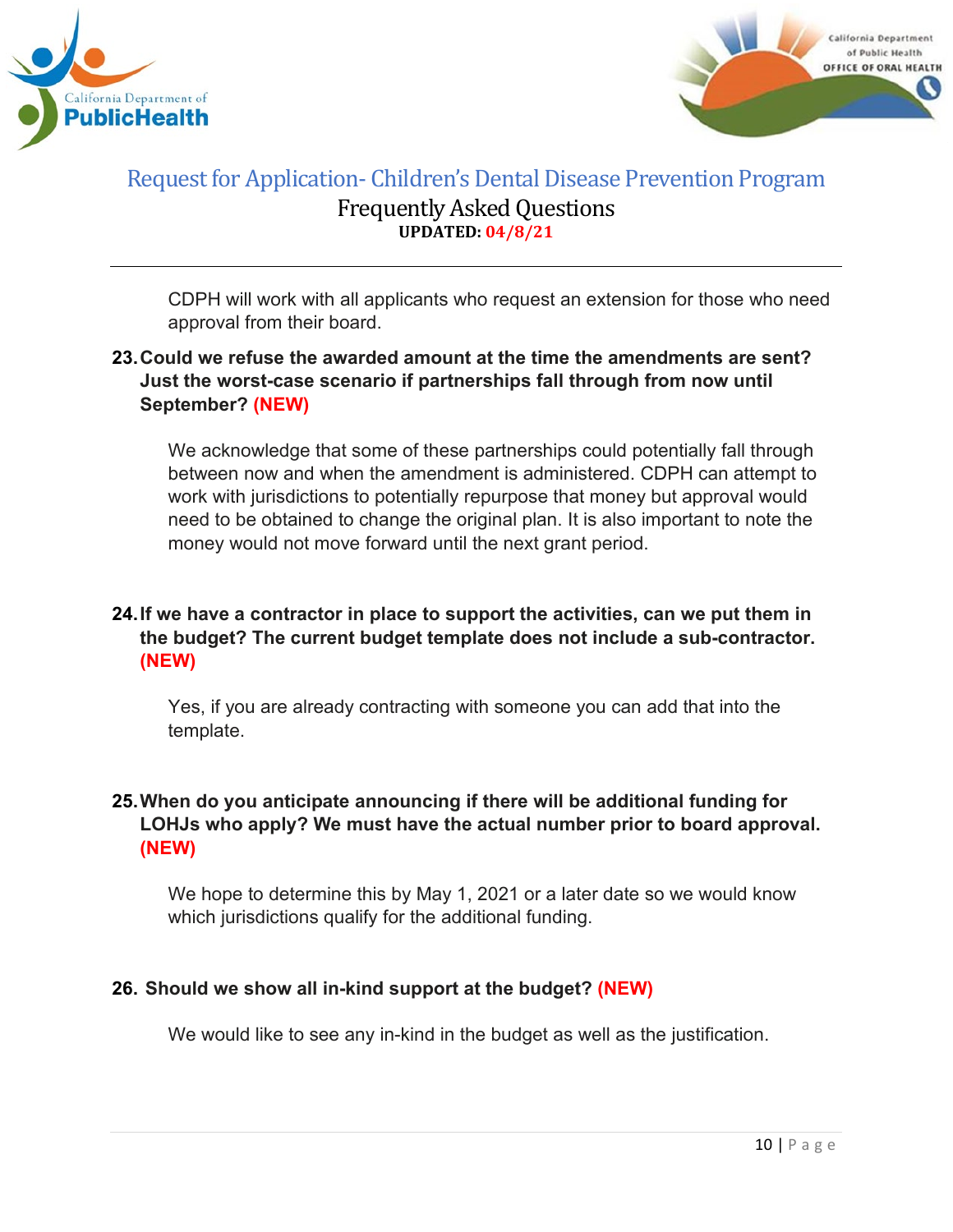



CDPH will work with all applicants who request an extension for those who need approval from their board.

# **23.Could we refuse the awarded amount at the time the amendments are sent? Just the worst-case scenario if partnerships fall through from now until September? (NEW)**

We acknowledge that some of these partnerships could potentially fall through between now and when the amendment is administered. CDPH can attempt to work with jurisdictions to potentially repurpose that money but approval would need to be obtained to change the original plan. It is also important to note the money would not move forward until the next grant period.

# **24.If we have a contractor in place to support the activities, can we put them in the budget? The current budget template does not include a sub-contractor. (NEW)**

Yes, if you are already contracting with someone you can add that into the template.

# **25.When do you anticipate announcing if there will be additional funding for LOHJs who apply? We must have the actual number prior to board approval. (NEW)**

We hope to determine this by May 1, 2021 or a later date so we would know which jurisdictions qualify for the additional funding.

# **26. Should we show all in-kind support at the budget? (NEW)**

We would like to see any in-kind in the budget as well as the justification.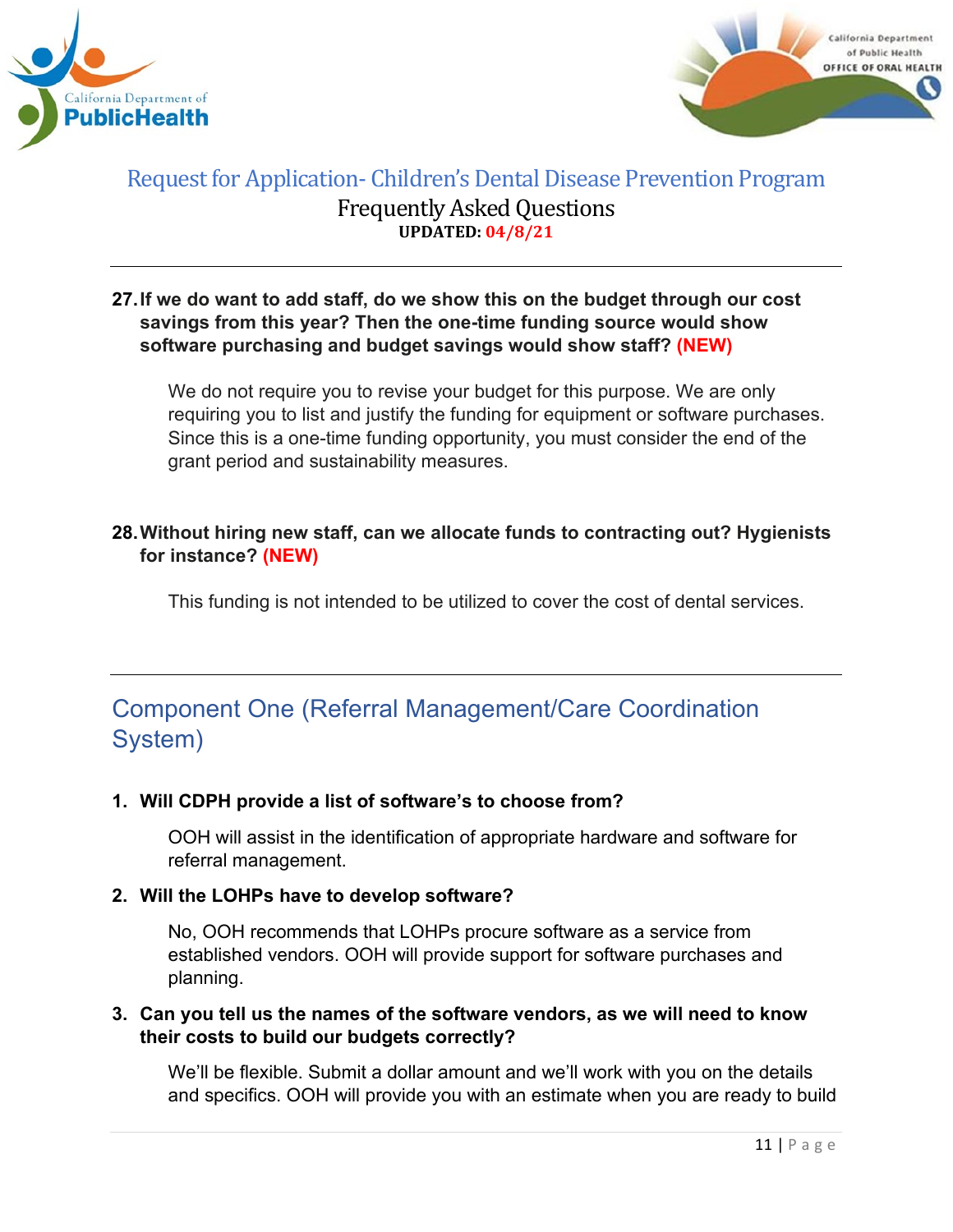



#### **27.If we do want to add staff, do we show this on the budget through our cost savings from this year? Then the one-time funding source would show software purchasing and budget savings would show staff? (NEW)**

We do not require you to revise your budget for this purpose. We are only requiring you to list and justify the funding for equipment or software purchases. Since this is a one-time funding opportunity, you must consider the end of the grant period and sustainability measures.

# **28.Without hiring new staff, can we allocate funds to contracting out? Hygienists for instance? (NEW)**

This funding is not intended to be utilized to cover the cost of dental services.

# <span id="page-10-0"></span>Component One (Referral Management/Care Coordination System)

# **1. Will CDPH provide a list of software's to choose from?**

OOH will assist in the identification of appropriate hardware and software for referral management.

# **2. Will the LOHPs have to develop software?**

No, OOH recommends that LOHPs procure software as a service from established vendors. OOH will provide support for software purchases and planning.

#### **3. Can you tell us the names of the software vendors, as we will need to know their costs to build our budgets correctly?**

We'll be flexible. Submit a dollar amount and we'll work with you on the details and specifics. OOH will provide you with an estimate when you are ready to build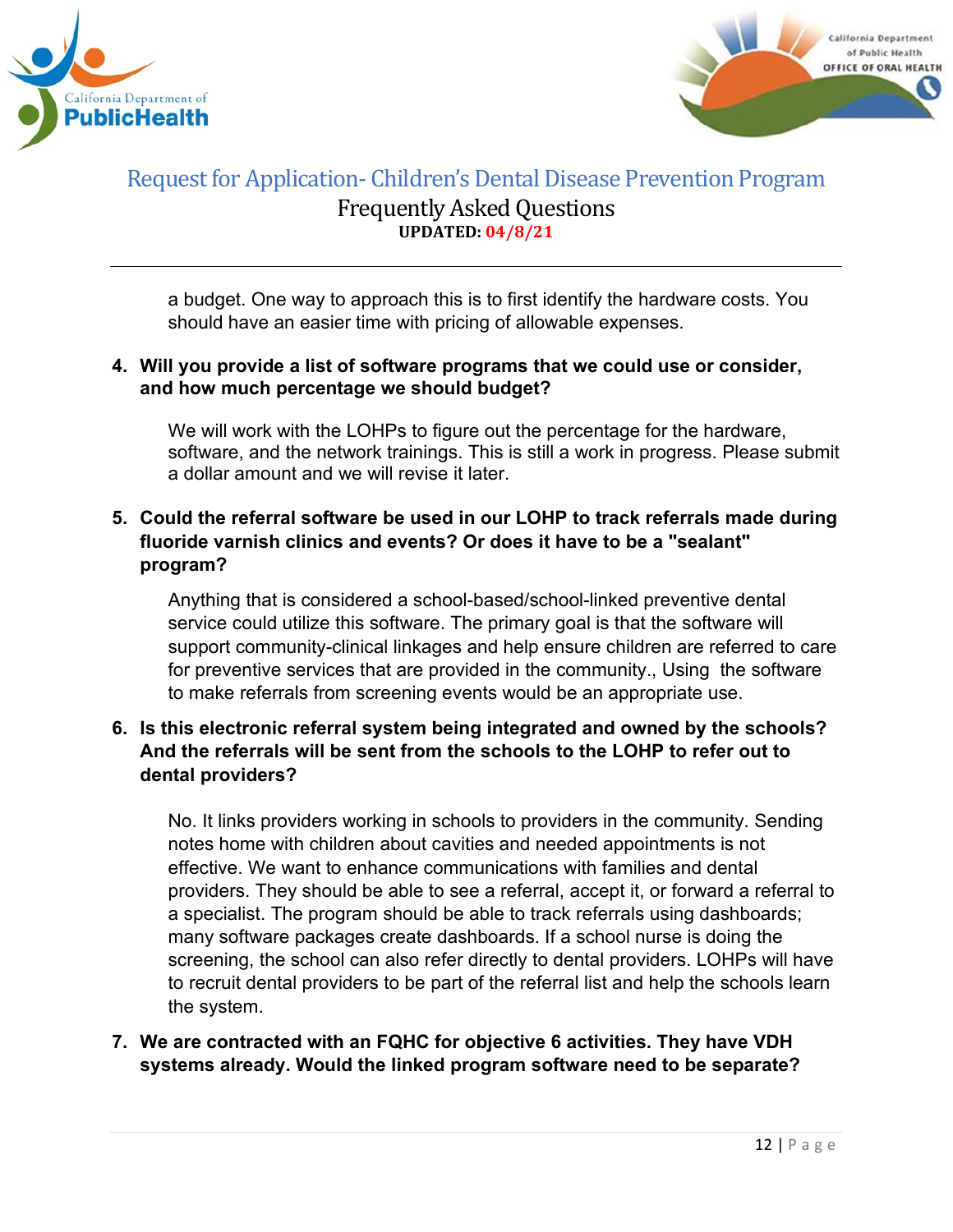



a budget. One way to approach this is to first identify the hardware costs. You should have an easier time with pricing of allowable expenses.

#### **4. Will you provide a list of software programs that we could use or consider, and how much percentage we should budget?**

We will work with the LOHPs to figure out the percentage for the hardware, software, and the network trainings. This is still a work in progress. Please submit a dollar amount and we will revise it later.

# **5. Could the referral software be used in our LOHP to track referrals made during fluoride varnish clinics and events? Or does it have to be a "sealant" program?**

Anything that is considered a school-based/school-linked preventive dental service could utilize this software. The primary goal is that the software will support community-clinical linkages and help ensure children are referred to care for preventive services that are provided in the community., Using the software to make referrals from screening events would be an appropriate use.

# **6. Is this electronic referral system being integrated and owned by the schools? And the referrals will be sent from the schools to the LOHP to refer out to dental providers?**

No. It links providers working in schools to providers in the community. Sending notes home with children about cavities and needed appointments is not effective. We want to enhance communications with families and dental providers. They should be able to see a referral, accept it, or forward a referral to a specialist. The program should be able to track referrals using dashboards; many software packages create dashboards. If a school nurse is doing the screening, the school can also refer directly to dental providers. LOHPs will have to recruit dental providers to be part of the referral list and help the schools learn the system.

# **7. We are contracted with an FQHC for objective 6 activities. They have VDH systems already. Would the linked program software need to be separate?**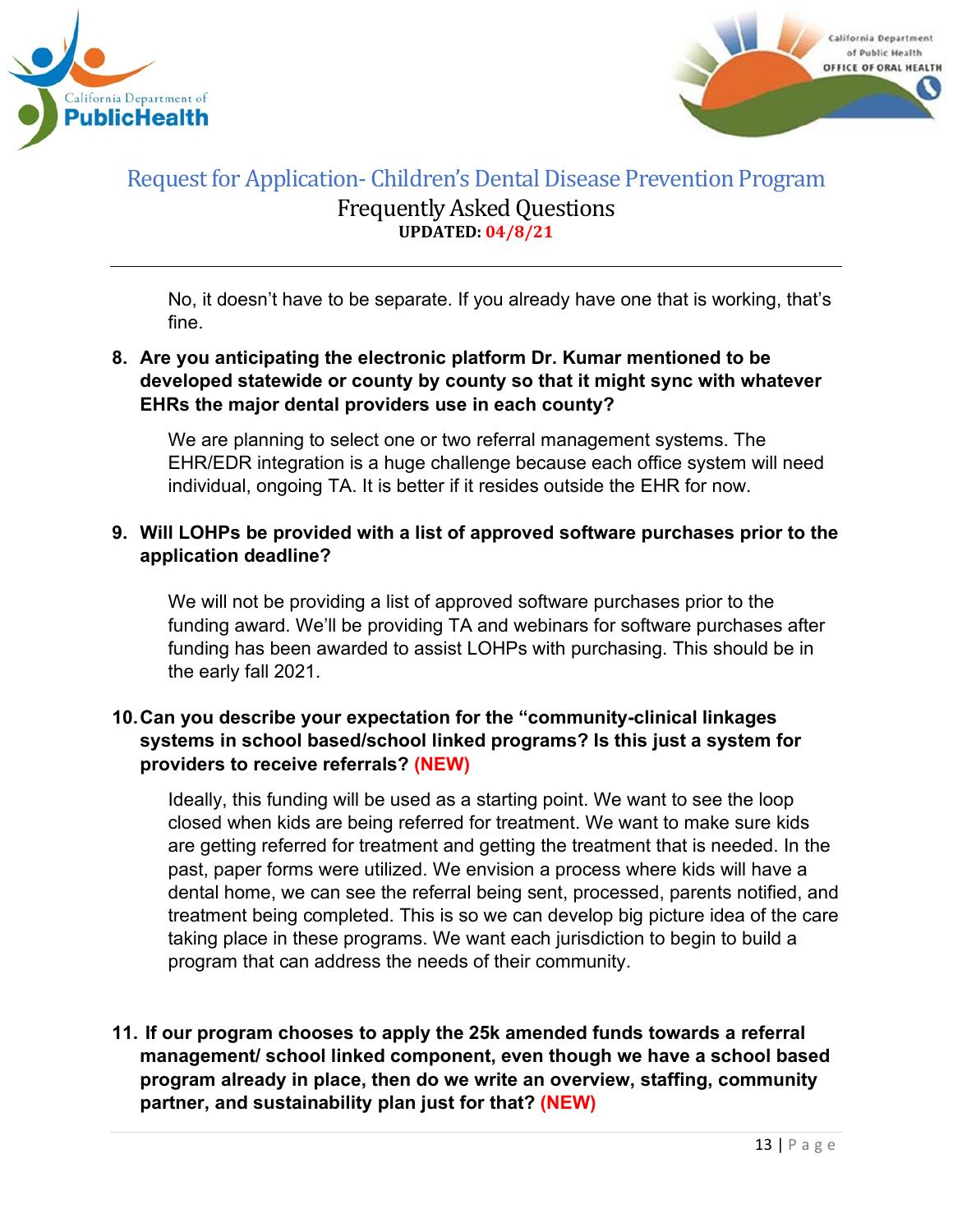



No, it doesn't have to be separate. If you already have one that is working, that's fine.

# **8. Are you anticipating the electronic platform Dr. Kumar mentioned to be developed statewide or county by county so that it might sync with whatever EHRs the major dental providers use in each county?**

We are planning to select one or two referral management systems. The EHR/EDR integration is a huge challenge because each office system will need individual, ongoing TA. It is better if it resides outside the EHR for now.

# **9. Will LOHPs be provided with a list of approved software purchases prior to the application deadline?**

We will not be providing a list of approved software purchases prior to the funding award. We'll be providing TA and webinars for software purchases after funding has been awarded to assist LOHPs with purchasing. This should be in the early fall 2021.

# **10.Can you describe your expectation for the "community-clinical linkages systems in school based/school linked programs? Is this just a system for providers to receive referrals? (NEW)**

Ideally, this funding will be used as a starting point. We want to see the loop closed when kids are being referred for treatment. We want to make sure kids are getting referred for treatment and getting the treatment that is needed. In the past, paper forms were utilized. We envision a process where kids will have a dental home, we can see the referral being sent, processed, parents notified, and treatment being completed. This is so we can develop big picture idea of the care taking place in these programs. We want each jurisdiction to begin to build a program that can address the needs of their community.

# **11. If our program chooses to apply the 25k amended funds towards a referral management/ school linked component, even though we have a school based program already in place, then do we write an overview, staffing, community partner, and sustainability plan just for that? (NEW)**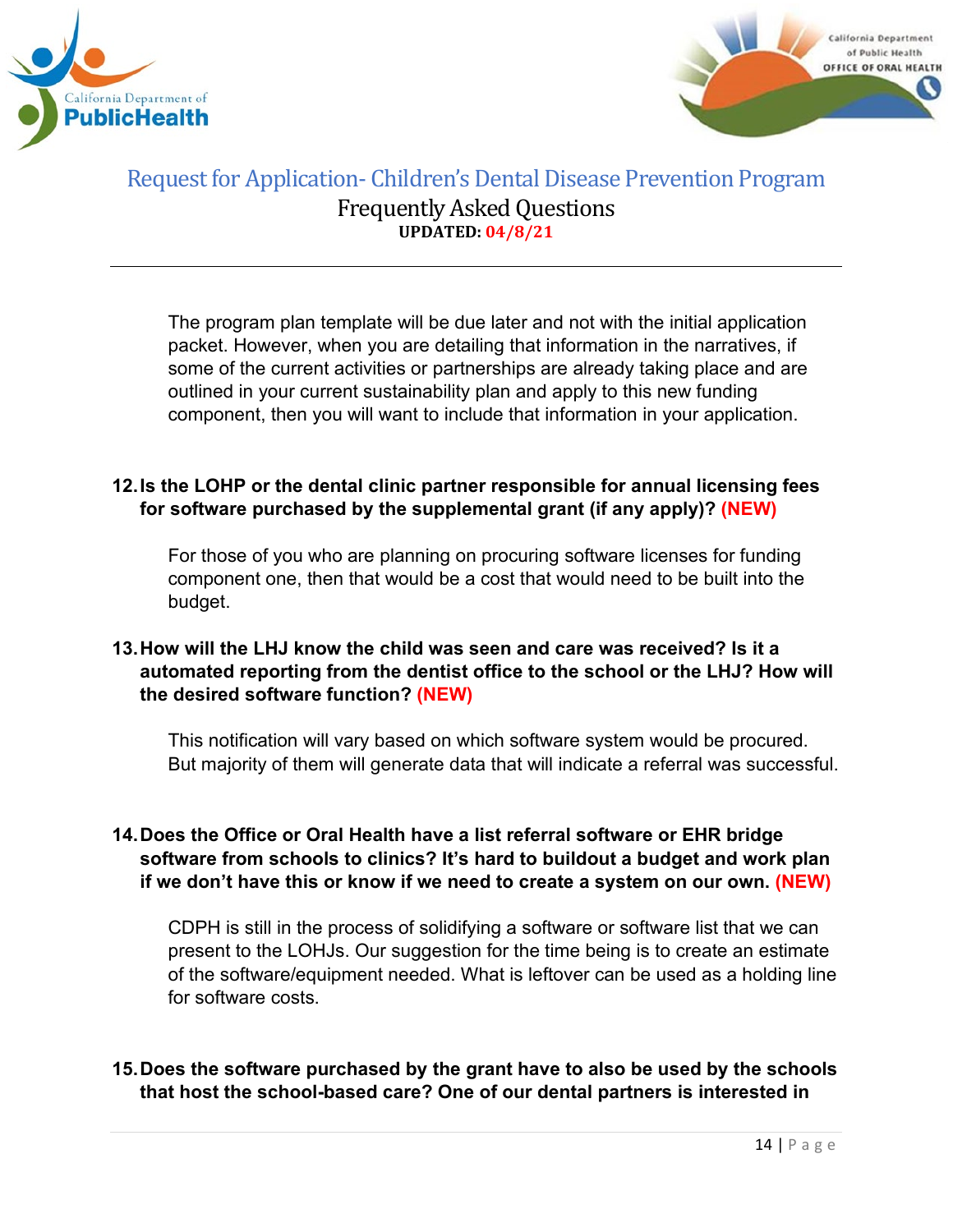



The program plan template will be due later and not with the initial application packet. However, when you are detailing that information in the narratives, if some of the current activities or partnerships are already taking place and are outlined in your current sustainability plan and apply to this new funding component, then you will want to include that information in your application.

#### **12.Is the LOHP or the dental clinic partner responsible for annual licensing fees for software purchased by the supplemental grant (if any apply)? (NEW)**

For those of you who are planning on procuring software licenses for funding component one, then that would be a cost that would need to be built into the budget.

# **13.How will the LHJ know the child was seen and care was received? Is it a automated reporting from the dentist office to the school or the LHJ? How will the desired software function? (NEW)**

This notification will vary based on which software system would be procured. But majority of them will generate data that will indicate a referral was successful.

# **14.Does the Office or Oral Health have a list referral software or EHR bridge software from schools to clinics? It's hard to buildout a budget and work plan if we don't have this or know if we need to create a system on our own. (NEW)**

CDPH is still in the process of solidifying a software or software list that we can present to the LOHJs. Our suggestion for the time being is to create an estimate of the software/equipment needed. What is leftover can be used as a holding line for software costs.

# **15.Does the software purchased by the grant have to also be used by the schools that host the school-based care? One of our dental partners is interested in**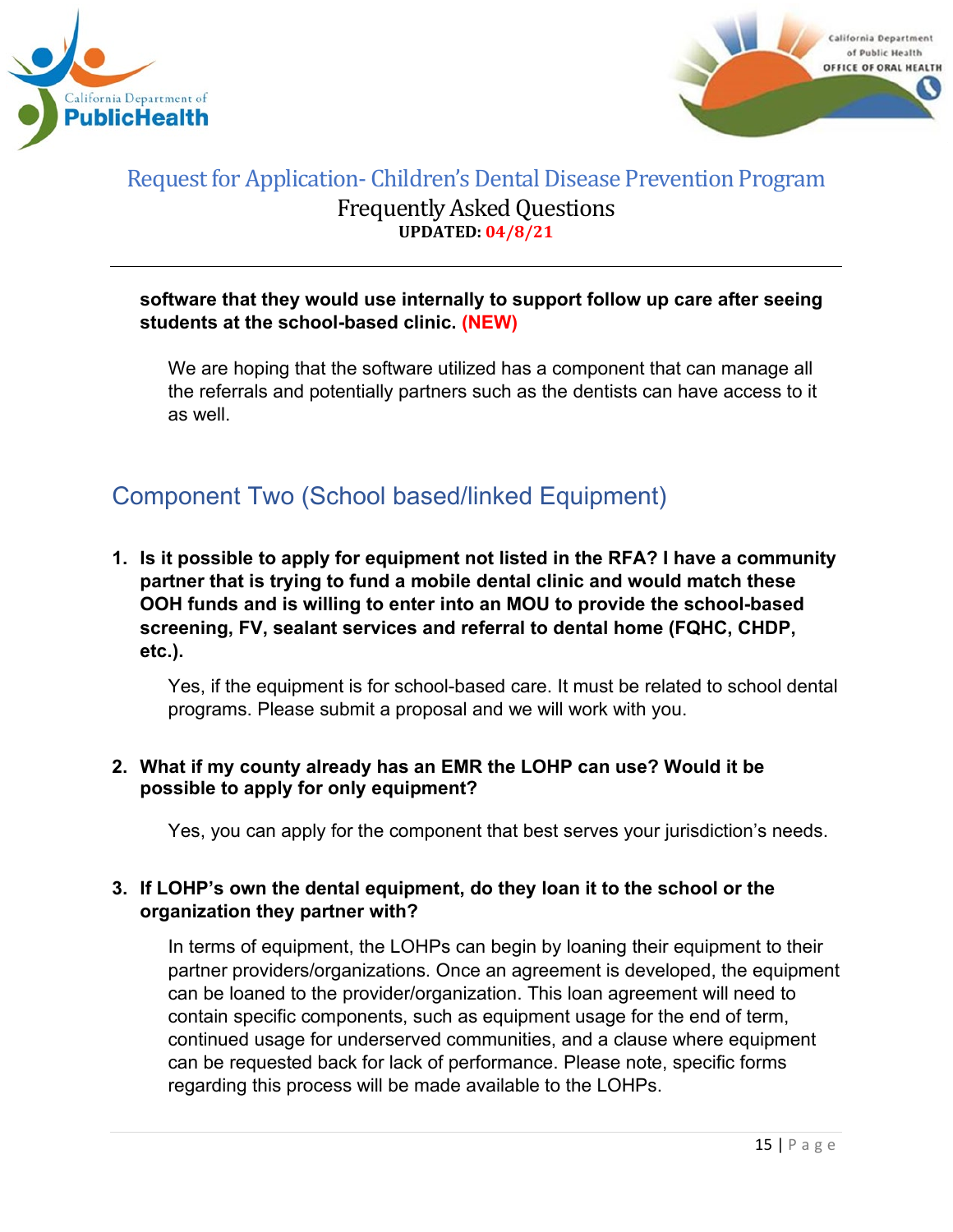



#### **software that they would use internally to support follow up care after seeing students at the school-based clinic. (NEW)**

We are hoping that the software utilized has a component that can manage all the referrals and potentially partners such as the dentists can have access to it as well.

# <span id="page-14-0"></span>Component Two (School based/linked Equipment)

**1. Is it possible to apply for equipment not listed in the RFA? I have a community partner that is trying to fund a mobile dental clinic and would match these OOH funds and is willing to enter into an MOU to provide the school-based screening, FV, sealant services and referral to dental home (FQHC, CHDP, etc.).**

Yes, if the equipment is for school-based care. It must be related to school dental programs. Please submit a proposal and we will work with you.

#### **2. What if my county already has an EMR the LOHP can use? Would it be possible to apply for only equipment?**

Yes, you can apply for the component that best serves your jurisdiction's needs.

# **3. If LOHP's own the dental equipment, do they loan it to the school or the organization they partner with?**

In terms of equipment, the LOHPs can begin by loaning their equipment to their partner providers/organizations. Once an agreement is developed, the equipment can be loaned to the provider/organization. This loan agreement will need to contain specific components, such as equipment usage for the end of term, continued usage for underserved communities, and a clause where equipment can be requested back for lack of performance. Please note, specific forms regarding this process will be made available to the LOHPs.